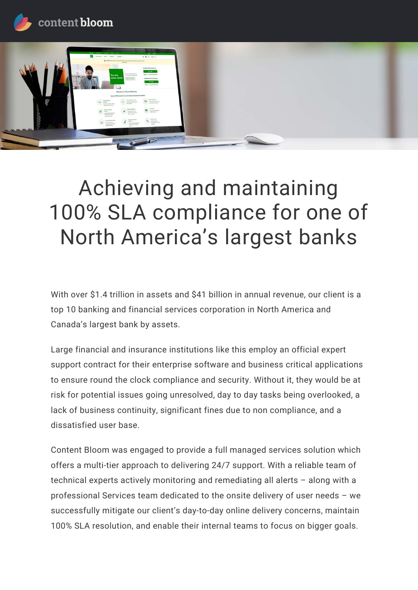



# Achieving and maintaining 100% SLA compliance for one of North America's largest banks

With over \$1.4 trillion in assets and \$41 billion in annual revenue, our client is a top 10 banking and financial services corporation in North America and Canada's largest bank by assets.

Large financial and insurance institutions like this employ an official expert support contract for their enterprise software and business critical applications to ensure round the clock compliance and security. Without it, they would be at risk for potential issues going unresolved, day to day tasks being overlooked, a lack of business continuity, significant fines due to non compliance, and a dissatisfied user base.

Content Bloom was engaged to provide a full managed services solution which offers a multi-tier approach to delivering 24/7 support. With a reliable team of technical experts actively monitoring and remediating all alerts - along with a professional Services team dedicated to the onsite delivery of user needs - we successfully mitigate our client's day-to-day online delivery concerns, maintain 100% SLA resolution, and enable their internal teams to focus on bigger goals.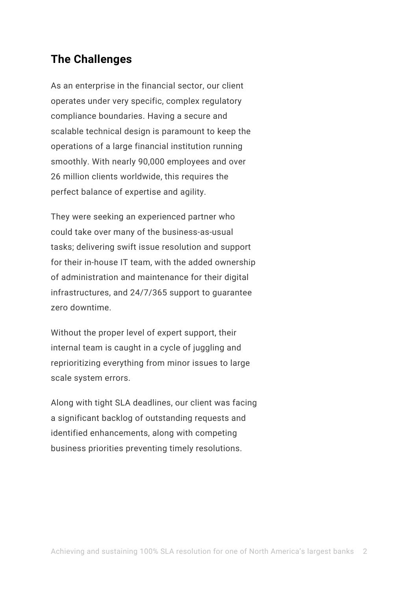### **The Challenges**

As an enterprise in the financial sector, our client operates under very specific, complex regulatory compliance boundaries. Having a secure and scalable technical design is paramount to keep the operations of a large financial institution running smoothly. With nearly 90,000 employees and over 26 million clients worldwide, this requires the perfect balance of expertise and agility.

They were seeking an experienced partner who could take over many of the business-as-usual tasks; delivering swift issue resolution and support for their in-house IT team, with the added ownership of administration and maintenance for their digital infrastructures, and 24/7/365 support to guarantee zero downtime.

Without the proper level of expert support, their internal team is caught in a cycle of juggling and reprioritizing everything from minor issues to large scale system errors.

Along with tight SLA deadlines, our client was facing a significant backlog of outstanding requests and identified enhancements, along with competing business priorities preventing timely resolutions.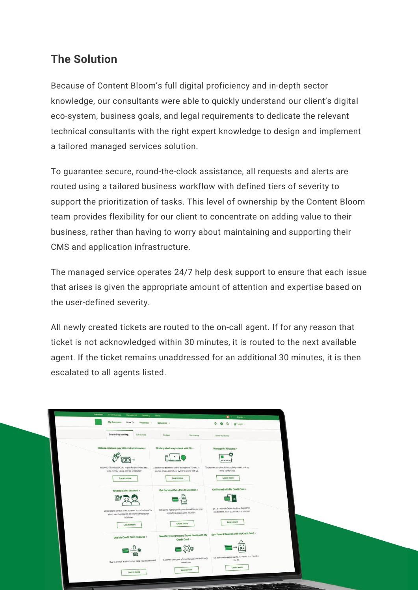# **The Solution**

Because of Content Bloom's full digital proficiency and in-depth sector knowledge, our consultants were able to quickly understand our client's digital eco-system, business goals, and legal requirements to dedicate the relevant technical consultants with the right expert knowledge to design and implement a tailored managed services solution.

To guarantee secure, round-the-clock assistance, all requests and alerts are routed using a tailored business workflow with defined tiers of severity to support the prioritization of tasks. This level of ownership by the Content Bloom team provides flexibility for our client to concentrate on adding value to their business, rather than having to worry about maintaining and supporting their CMS and application infrastructure.

The managed service operates 24/7 help desk support to ensure that each issue that arises is given the appropriate amount of attention and expertise based on the user-defined severity.

All newly created tickets are routed to the on-call agent. If for any reason that ticket is not acknowledged within 30 minutes, it is routed to the next available agent. If the ticket remains unaddressed for an additional 30 minutes, it is then escalated to all agents listed.

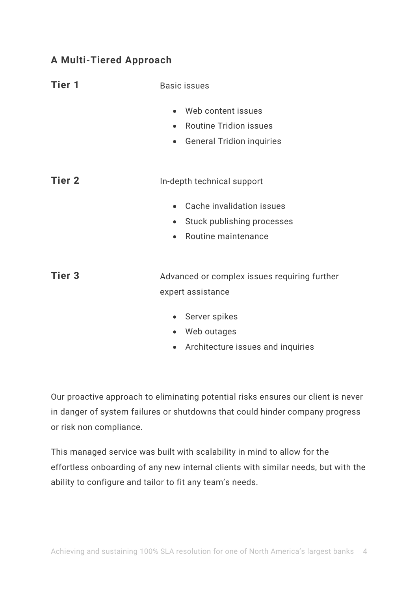#### **A Multi-Tiered Approach**

| <b>Tier 1</b> | <b>Basic issues</b>                                                                                                            |
|---------------|--------------------------------------------------------------------------------------------------------------------------------|
|               | Web content issues<br>$\bullet$<br><b>Routine Tridion issues</b><br>$\bullet$<br><b>General Tridion inquiries</b><br>$\bullet$ |
| <b>Tier 2</b> | In-depth technical support                                                                                                     |
|               | Cache invalidation issues<br>Stuck publishing processes<br>$\bullet$<br>Routine maintenance<br>$\bullet$                       |
| <b>Tier 3</b> | Advanced or complex issues requiring further<br>expert assistance                                                              |
|               | Server spikes<br>$\bullet$<br>Web outages<br>$\bullet$                                                                         |

• Architecture issues and inquiries

Our proactive approach to eliminating potential risks ensures our client is never in danger of system failures or shutdowns that could hinder company progress or risk non compliance.

This managed service was built with scalability in mind to allow for the effortless onboarding of any new internal clients with similar needs, but with the ability to configure and tailor to fit any team's needs.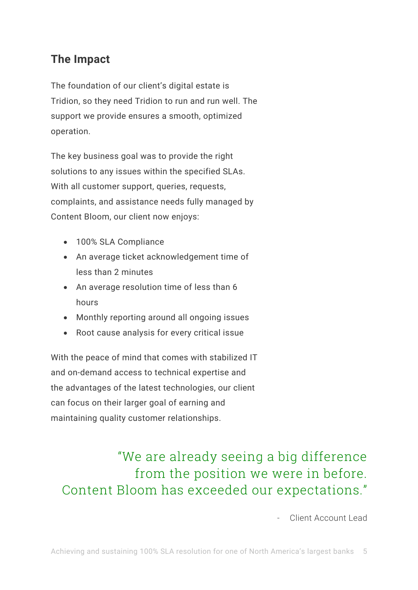# **The Impact**

The foundation of our client's digital estate is Tridion, so they need Tridion to run and run well. The support we provide ensures a smooth, optimized operation.

The key business goal was to provide the right solutions to any issues within the specified SLAs. With all customer support, queries, requests, complaints, and assistance needs fully managed by Content Bloom, our client now enjoys:

- 100% SLA Compliance
- An average ticket acknowledgement time of less than 2 minutes
- An average resolution time of less than 6 hours
- Monthly reporting around all ongoing issues
- Root cause analysis for every critical issue

With the peace of mind that comes with stabilized IT and on-demand access to technical expertise and the advantages of the latest technologies, our client can focus on their larger goal of earning and maintaining quality customer relationships.

# "We are already seeing a big difference from the position we were in before. Content Bloom has exceeded our expectations."

- Client Account Lead